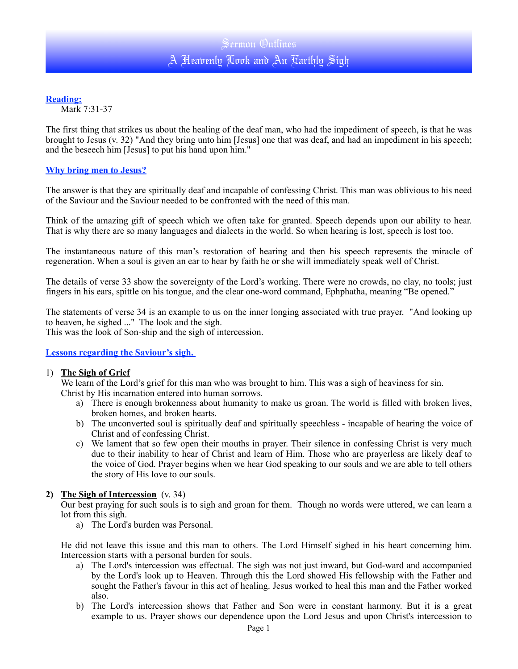## **Reading:**

Mark 7:31-37

The first thing that strikes us about the healing of the deaf man, who had the impediment of speech, is that he was brought to Jesus (v. 32) "And they bring unto him [Jesus] one that was deaf, and had an impediment in his speech; and the beseech him [Jesus] to put his hand upon him."

## **Why bring men to Jesus?**

The answer is that they are spiritually deaf and incapable of confessing Christ. This man was oblivious to his need of the Saviour and the Saviour needed to be confronted with the need of this man.

Think of the amazing gift of speech which we often take for granted. Speech depends upon our ability to hear. That is why there are so many languages and dialects in the world. So when hearing is lost, speech is lost too.

The instantaneous nature of this man's restoration of hearing and then his speech represents the miracle of regeneration. When a soul is given an ear to hear by faith he or she will immediately speak well of Christ.

The details of verse 33 show the sovereignty of the Lord's working. There were no crowds, no clay, no tools; just fingers in his ears, spittle on his tongue, and the clear one-word command, Ephphatha, meaning "Be opened."

The statements of verse 34 is an example to us on the inner longing associated with true prayer. "And looking up to heaven, he sighed ..." The look and the sigh.

This was the look of Son-ship and the sigh of intercession.

**Lessons regarding the Saviour's sigh.** 

#### 1) **The Sigh of Grief**

We learn of the Lord's grief for this man who was brought to him. This was a sigh of heaviness for sin. Christ by His incarnation entered into human sorrows.

- a) There is enough brokenness about humanity to make us groan. The world is filled with broken lives, broken homes, and broken hearts.
- b) The unconverted soul is spiritually deaf and spiritually speechless incapable of hearing the voice of Christ and of confessing Christ.
- c) We lament that so few open their mouths in prayer. Their silence in confessing Christ is very much due to their inability to hear of Christ and learn of Him. Those who are prayerless are likely deaf to the voice of God. Prayer begins when we hear God speaking to our souls and we are able to tell others the story of His love to our souls.

## **2) The Sigh of Intercession** (v. 34)

Our best praying for such souls is to sigh and groan for them. Though no words were uttered, we can learn a lot from this sigh.

a) The Lord's burden was Personal.

He did not leave this issue and this man to others. The Lord Himself sighed in his heart concerning him. Intercession starts with a personal burden for souls.

- a) The Lord's intercession was effectual. The sigh was not just inward, but God-ward and accompanied by the Lord's look up to Heaven. Through this the Lord showed His fellowship with the Father and sought the Father's favour in this act of healing. Jesus worked to heal this man and the Father worked also.
- b) The Lord's intercession shows that Father and Son were in constant harmony. But it is a great example to us. Prayer shows our dependence upon the Lord Jesus and upon Christ's intercession to